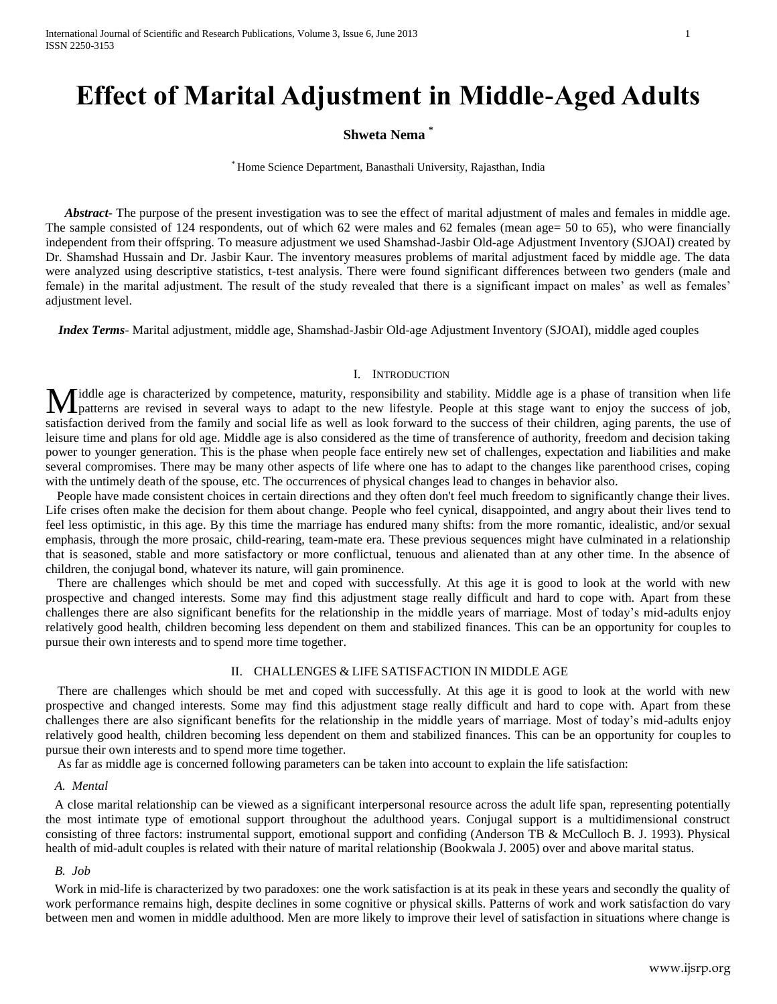# **Effect of Marital Adjustment in Middle-Aged Adults**

## **Shweta Nema \***

\* Home Science Department, Banasthali University, Rajasthan, India

*Abstract* The purpose of the present investigation was to see the effect of marital adjustment of males and females in middle age. The sample consisted of 124 respondents, out of which 62 were males and 62 females (mean age= 50 to 65), who were financially independent from their offspring. To measure adjustment we used Shamshad-Jasbir Old-age Adjustment Inventory (SJOAI) created by Dr. Shamshad Hussain and Dr. Jasbir Kaur. The inventory measures problems of marital adjustment faced by middle age. The data were analyzed using descriptive statistics, t-test analysis. There were found significant differences between two genders (male and female) in the marital adjustment. The result of the study revealed that there is a significant impact on males' as well as females' adjustment level.

 *Index Terms*- Marital adjustment, middle age, Shamshad-Jasbir Old-age Adjustment Inventory (SJOAI), middle aged couples

#### I. INTRODUCTION

iddle age is characterized by competence, maturity, responsibility and stability. Middle age is a phase of transition when life patterns are revised in several ways to adapt to the new lifestyle. People at this stage want to enjoy the success of job, **M** iddle age is characterized by competence, maturity, responsibility and stability. Middle age is a phase of transition when life patterns are revised in several ways to adapt to the new lifestyle. People at this stage w leisure time and plans for old age. Middle age is also considered as the time of transference of authority, freedom and decision taking power to younger generation. This is the phase when people face entirely new set of challenges, expectation and liabilities and make several compromises. There may be many other aspects of life where one has to adapt to the changes like parenthood crises, coping with the untimely death of the spouse, etc. The occurrences of physical changes lead to changes in behavior also.

People have made consistent choices in certain directions and they often don't feel much freedom to significantly change their lives. Life crises often make the decision for them about change. People who feel cynical, disappointed, and angry about their lives tend to feel less optimistic, in this age. By this time the marriage has endured many shifts: from the more romantic, idealistic, and/or sexual emphasis, through the more prosaic, child-rearing, team-mate era. These previous sequences might have culminated in a relationship that is seasoned, stable and more satisfactory or more conflictual, tenuous and alienated than at any other time. In the absence of children, the conjugal bond, whatever its nature, will gain prominence.

There are challenges which should be met and coped with successfully. At this age it is good to look at the world with new prospective and changed interests. Some may find this adjustment stage really difficult and hard to cope with. Apart from these challenges there are also significant benefits for the relationship in the middle years of marriage. Most of today's mid-adults enjoy relatively good health, children becoming less dependent on them and stabilized finances. This can be an opportunity for couples to pursue their own interests and to spend more time together.

#### II. CHALLENGES & LIFE SATISFACTION IN MIDDLE AGE

There are challenges which should be met and coped with successfully. At this age it is good to look at the world with new prospective and changed interests. Some may find this adjustment stage really difficult and hard to cope with. Apart from these challenges there are also significant benefits for the relationship in the middle years of marriage. Most of today's mid-adults enjoy relatively good health, children becoming less dependent on them and stabilized finances. This can be an opportunity for couples to pursue their own interests and to spend more time together.

As far as middle age is concerned following parameters can be taken into account to explain the life satisfaction:

#### *A. Mental*

A close marital relationship can be viewed as a significant interpersonal resource across the adult life span, representing potentially the most intimate type of emotional support throughout the adulthood years. Conjugal support is a multidimensional construct consisting of three factors: instrumental support, emotional support and confiding (Anderson TB & McCulloch B. J. 1993). Physical health of mid-adult couples is related with their nature of marital relationship (Bookwala J. 2005) over and above marital status.

#### *B. Job*

Work in mid-life is characterized by two paradoxes: one the work satisfaction is at its peak in these years and secondly the quality of work performance remains high, despite declines in some cognitive or physical skills. Patterns of work and work satisfaction do vary between men and women in middle adulthood. Men are more likely to improve their level of satisfaction in situations where change is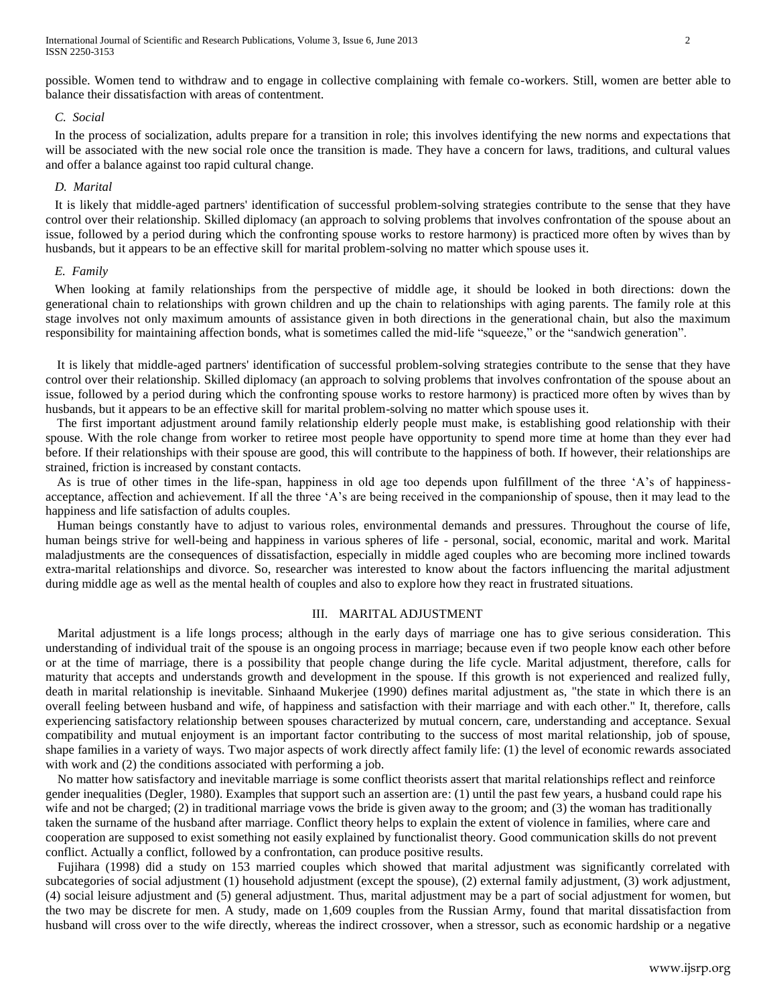possible. Women tend to withdraw and to engage in collective complaining with female co-workers. Still, women are better able to balance their dissatisfaction with areas of contentment.

### *C. Social*

In the process of socialization, adults prepare for a transition in role; this involves identifying the new norms and expectations that will be associated with the new social role once the transition is made. They have a concern for laws, traditions, and cultural values and offer a balance against too rapid cultural change.

#### *D. Marital*

It is likely that middle-aged partners' identification of successful problem-solving strategies contribute to the sense that they have control over their relationship. Skilled diplomacy (an approach to solving problems that involves confrontation of the spouse about an issue, followed by a period during which the confronting spouse works to restore harmony) is practiced more often by wives than by husbands, but it appears to be an effective skill for marital problem-solving no matter which spouse uses it.

#### *E. Family*

When looking at family relationships from the perspective of middle age, it should be looked in both directions: down the generational chain to relationships with grown children and up the chain to relationships with aging parents. The family role at this stage involves not only maximum amounts of assistance given in both directions in the generational chain, but also the maximum responsibility for maintaining affection bonds, what is sometimes called the mid-life "squeeze," or the "sandwich generation".

It is likely that middle-aged partners' identification of successful problem-solving strategies contribute to the sense that they have control over their relationship. Skilled diplomacy (an approach to solving problems that involves confrontation of the spouse about an issue, followed by a period during which the confronting spouse works to restore harmony) is practiced more often by wives than by husbands, but it appears to be an effective skill for marital problem-solving no matter which spouse uses it.

The first important adjustment around family relationship elderly people must make, is establishing good relationship with their spouse. With the role change from worker to retiree most people have opportunity to spend more time at home than they ever had before. If their relationships with their spouse are good, this will contribute to the happiness of both. If however, their relationships are strained, friction is increased by constant contacts.

As is true of other times in the life-span, happiness in old age too depends upon fulfillment of the three 'A's of happinessacceptance, affection and achievement. If all the three 'A's are being received in the companionship of spouse, then it may lead to the happiness and life satisfaction of adults couples.

Human beings constantly have to adjust to various roles, environmental demands and pressures. Throughout the course of life, human beings strive for well-being and happiness in various spheres of life - personal, social, economic, marital and work. Marital maladjustments are the consequences of dissatisfaction, especially in middle aged couples who are becoming more inclined towards extra-marital relationships and divorce. So, researcher was interested to know about the factors influencing the marital adjustment during middle age as well as the mental health of couples and also to explore how they react in frustrated situations.

#### III. MARITAL ADJUSTMENT

Marital adjustment is a life longs process; although in the early days of marriage one has to give serious consideration. This understanding of individual trait of the spouse is an ongoing process in marriage; because even if two people know each other before or at the time of marriage, there is a possibility that people change during the life cycle. Marital adjustment, therefore, calls for maturity that accepts and understands growth and development in the spouse. If this growth is not experienced and realized fully, death in marital relationship is inevitable. Sinhaand Mukerjee (1990) defines marital adjustment as, "the state in which there is an overall feeling between husband and wife, of happiness and satisfaction with their marriage and with each other." It, therefore, calls experiencing satisfactory relationship between spouses characterized by mutual concern, care, understanding and acceptance. Sexual compatibility and mutual enjoyment is an important factor contributing to the success of most marital relationship, job of spouse, shape families in a variety of ways. Two major aspects of work directly affect family life: (1) the level of economic rewards associated with work and (2) the conditions associated with performing a job.

No matter how satisfactory and inevitable marriage is some conflict theorists assert that marital relationships reflect and reinforce gender inequalities (Degler, 1980). Examples that support such an assertion are: (1) until the past few years, a husband could rape his wife and not be charged; (2) in traditional marriage vows the bride is given away to the groom; and (3) the woman has traditionally taken the surname of the husband after marriage. Conflict theory helps to explain the extent of violence in families, where care and cooperation are supposed to exist something not easily explained by functionalist theory. Good communication skills do not prevent conflict. Actually a conflict, followed by a confrontation, can produce positive results.

Fujihara (1998) did a study on 153 married couples which showed that marital adjustment was significantly correlated with subcategories of social adjustment (1) household adjustment (except the spouse), (2) external family adjustment, (3) work adjustment, (4) social leisure adjustment and (5) general adjustment. Thus, marital adjustment may be a part of social adjustment for women, but the two may be discrete for men. A study, made on 1,609 couples from the Russian Army, found that marital dissatisfaction from husband will cross over to the wife directly, whereas the indirect crossover, when a stressor, such as economic hardship or a negative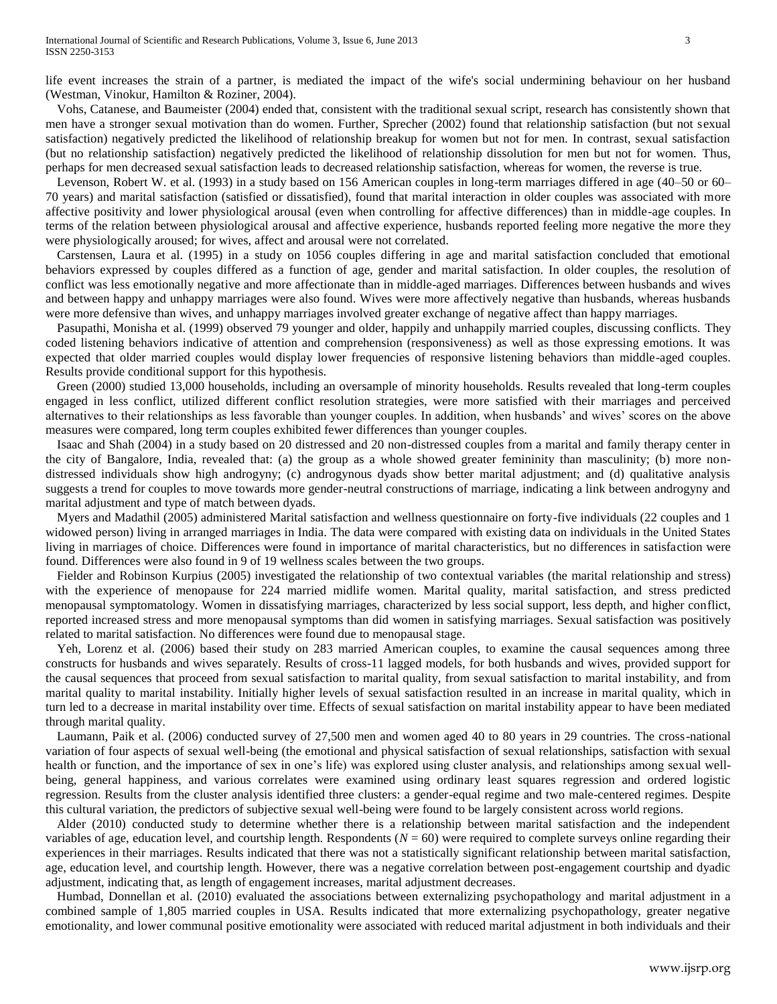life event increases the strain of a partner, is mediated the impact of the wife's social undermining behaviour on her husband (Westman, Vinokur, Hamilton & Roziner, 2004).

Vohs, Catanese, and Baumeister (2004) ended that, consistent with the traditional sexual script, research has consistently shown that men have a stronger sexual motivation than do women. Further, Sprecher (2002) found that relationship satisfaction (but not sexual satisfaction) negatively predicted the likelihood of relationship breakup for women but not for men. In contrast, sexual satisfaction (but no relationship satisfaction) negatively predicted the likelihood of relationship dissolution for men but not for women. Thus, perhaps for men decreased sexual satisfaction leads to decreased relationship satisfaction, whereas for women, the reverse is true.

Levenson, Robert W. et al. (1993) in a study based on 156 American couples in long-term marriages differed in age (40–50 or 60– 70 years) and marital satisfaction (satisfied or dissatisfied), found that marital interaction in older couples was associated with more affective positivity and lower physiological arousal (even when controlling for affective differences) than in middle-age couples. In terms of the relation between physiological arousal and affective experience, husbands reported feeling more negative the more they were physiologically aroused; for wives, affect and arousal were not correlated.

Carstensen, Laura et al. (1995) in a study on 1056 couples differing in age and marital satisfaction concluded that emotional behaviors expressed by couples differed as a function of age, gender and marital satisfaction. In older couples, the resolution of conflict was less emotionally negative and more affectionate than in middle-aged marriages. Differences between husbands and wives and between happy and unhappy marriages were also found. Wives were more affectively negative than husbands, whereas husbands were more defensive than wives, and unhappy marriages involved greater exchange of negative affect than happy marriages.

Pasupathi, Monisha et al. (1999) observed 79 younger and older, happily and unhappily married couples, discussing conflicts. They coded listening behaviors indicative of attention and comprehension (responsiveness) as well as those expressing emotions. It was expected that older married couples would display lower frequencies of responsive listening behaviors than middle-aged couples. Results provide conditional support for this hypothesis.

Green (2000) studied 13,000 households, including an oversample of minority households. Results revealed that long-term couples engaged in less conflict, utilized different conflict resolution strategies, were more satisfied with their marriages and perceived alternatives to their relationships as less favorable than younger couples. In addition, when husbands' and wives' scores on the above measures were compared, long term couples exhibited fewer differences than younger couples.

Isaac and Shah (2004) in a study based on 20 distressed and 20 non-distressed couples from a marital and family therapy center in the city of Bangalore, India, revealed that: (a) the group as a whole showed greater femininity than masculinity; (b) more nondistressed individuals show high androgyny; (c) androgynous dyads show better marital adjustment; and (d) qualitative analysis suggests a trend for couples to move towards more gender-neutral constructions of marriage, indicating a link between androgyny and marital adjustment and type of match between dyads.

Myers and Madathil (2005) administered Marital satisfaction and wellness questionnaire on forty-five individuals (22 couples and 1 widowed person) living in arranged marriages in India. The data were compared with existing data on individuals in the United States living in marriages of choice. Differences were found in importance of marital characteristics, but no differences in satisfaction were found. Differences were also found in 9 of 19 wellness scales between the two groups.

Fielder and Robinson Kurpius (2005) investigated the relationship of two contextual variables (the marital relationship and stress) with the experience of menopause for 224 married midlife women. Marital quality, marital satisfaction, and stress predicted menopausal symptomatology. Women in dissatisfying marriages, characterized by less social support, less depth, and higher conflict, reported increased stress and more menopausal symptoms than did women in satisfying marriages. Sexual satisfaction was positively related to marital satisfaction. No differences were found due to menopausal stage.

Yeh, Lorenz et al. (2006) based their study on 283 married American couples, to examine the causal sequences among three constructs for husbands and wives separately. Results of cross-11 lagged models, for both husbands and wives, provided support for the causal sequences that proceed from sexual satisfaction to marital quality, from sexual satisfaction to marital instability, and from marital quality to marital instability. Initially higher levels of sexual satisfaction resulted in an increase in marital quality, which in turn led to a decrease in marital instability over time. Effects of sexual satisfaction on marital instability appear to have been mediated through marital quality.

Laumann, Paik et al. (2006) conducted survey of 27,500 men and women aged 40 to 80 years in 29 countries. The cross-national variation of four aspects of sexual well-being (the emotional and physical satisfaction of sexual relationships, satisfaction with sexual health or function, and the importance of sex in one's life) was explored using cluster analysis, and relationships among sexual wellbeing, general happiness, and various correlates were examined using ordinary least squares regression and ordered logistic regression. Results from the cluster analysis identified three clusters: a gender-equal regime and two male-centered regimes. Despite this cultural variation, the predictors of subjective sexual well-being were found to be largely consistent across world regions.

Alder (2010) conducted study to determine whether there is a relationship between marital satisfaction and the independent variables of age, education level, and courtship length. Respondents  $(N = 60)$  were required to complete surveys online regarding their experiences in their marriages. Results indicated that there was not a statistically significant relationship between marital satisfaction, age, education level, and courtship length. However, there was a negative correlation between post-engagement courtship and dyadic adjustment, indicating that, as length of engagement increases, marital adjustment decreases.

Humbad, Donnellan et al. (2010) evaluated the associations between externalizing psychopathology and marital adjustment in a combined sample of 1,805 married couples in USA. Results indicated that more externalizing psychopathology, greater negative emotionality, and lower communal positive emotionality were associated with reduced marital adjustment in both individuals and their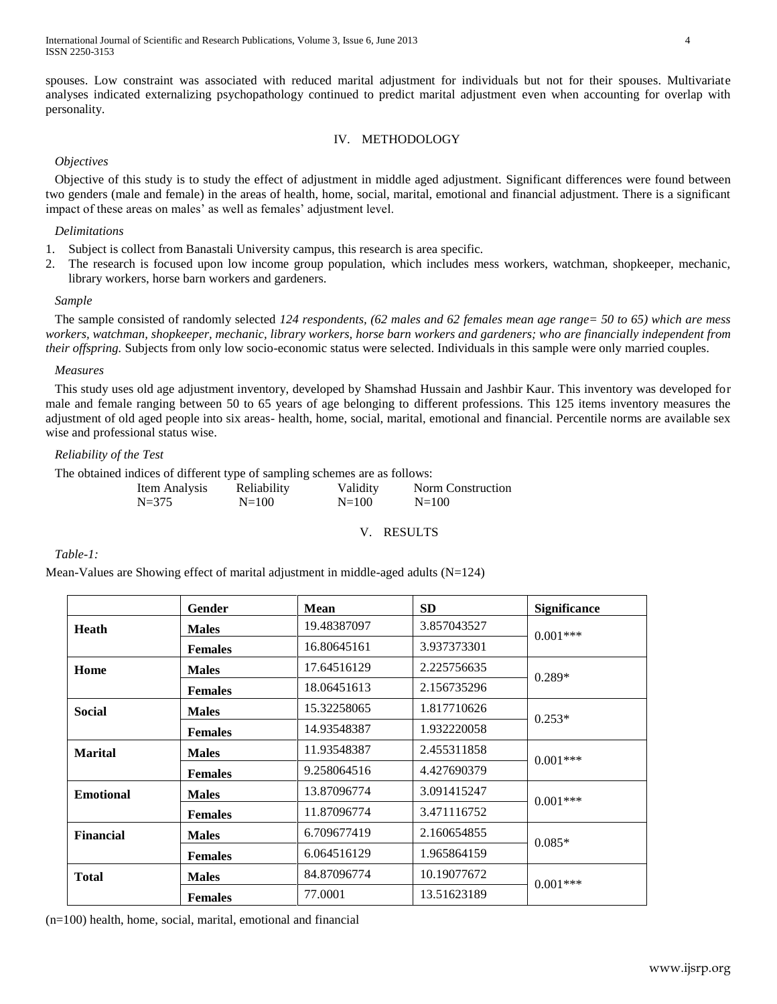spouses. Low constraint was associated with reduced marital adjustment for individuals but not for their spouses. Multivariate analyses indicated externalizing psychopathology continued to predict marital adjustment even when accounting for overlap with personality.

## IV. METHODOLOGY

## *Objectives*

Objective of this study is to study the effect of adjustment in middle aged adjustment. Significant differences were found between two genders (male and female) in the areas of health, home, social, marital, emotional and financial adjustment. There is a significant impact of these areas on males' as well as females' adjustment level.

## *Delimitations*

- 1. Subject is collect from Banastali University campus, this research is area specific.
- 2. The research is focused upon low income group population, which includes mess workers, watchman, shopkeeper, mechanic, library workers, horse barn workers and gardeners.

## *Sample*

The sample consisted of randomly selected *124 respondents, (62 males and 62 females mean age range= 50 to 65) which are mess workers, watchman, shopkeeper, mechanic, library workers, horse barn workers and gardeners; who are financially independent from their offspring.* Subjects from only low socio-economic status were selected. Individuals in this sample were only married couples.

## *Measures*

This study uses old age adjustment inventory, developed by Shamshad Hussain and Jashbir Kaur. This inventory was developed for male and female ranging between 50 to 65 years of age belonging to different professions. This 125 items inventory measures the adjustment of old aged people into six areas- health, home, social, marital, emotional and financial. Percentile norms are available sex wise and professional status wise.

## *Reliability of the Test*

The obtained indices of different type of sampling schemes are as follows:

| Item Analysis | Reliability | Validity  | Norm Construction |
|---------------|-------------|-----------|-------------------|
| $N = 375$     | $N = 100$   | $N = 100$ | $N = 100$         |

### V. RESULTS

## *Table-1:*

Mean-Values are Showing effect of marital adjustment in middle-aged adults (N=124)

|                  | Gender         | <b>Mean</b> | <b>SD</b>   | <b>Significance</b> |
|------------------|----------------|-------------|-------------|---------------------|
| <b>Heath</b>     | <b>Males</b>   | 19.48387097 | 3.857043527 | $0.001***$          |
|                  | <b>Females</b> | 16.80645161 | 3.937373301 |                     |
| Home             | <b>Males</b>   | 17.64516129 | 2.225756635 | $0.289*$            |
|                  | <b>Females</b> | 18.06451613 | 2.156735296 |                     |
| <b>Social</b>    | <b>Males</b>   | 15.32258065 | 1.817710626 | $0.253*$            |
|                  | <b>Females</b> | 14.93548387 | 1.932220058 |                     |
| <b>Marital</b>   | <b>Males</b>   | 11.93548387 | 2.455311858 | $0.001***$          |
|                  | <b>Females</b> | 9.258064516 | 4.427690379 |                     |
| <b>Emotional</b> | <b>Males</b>   | 13.87096774 | 3.091415247 | $0.001***$          |
|                  | <b>Females</b> | 11.87096774 | 3.471116752 |                     |
| <b>Financial</b> | <b>Males</b>   | 6.709677419 | 2.160654855 | $0.085*$            |
|                  | <b>Females</b> | 6.064516129 | 1.965864159 |                     |
| <b>Total</b>     | <b>Males</b>   | 84.87096774 | 10.19077672 | $0.001***$          |
|                  | <b>Females</b> | 77.0001     | 13.51623189 |                     |

(n=100) health, home, social, marital, emotional and financial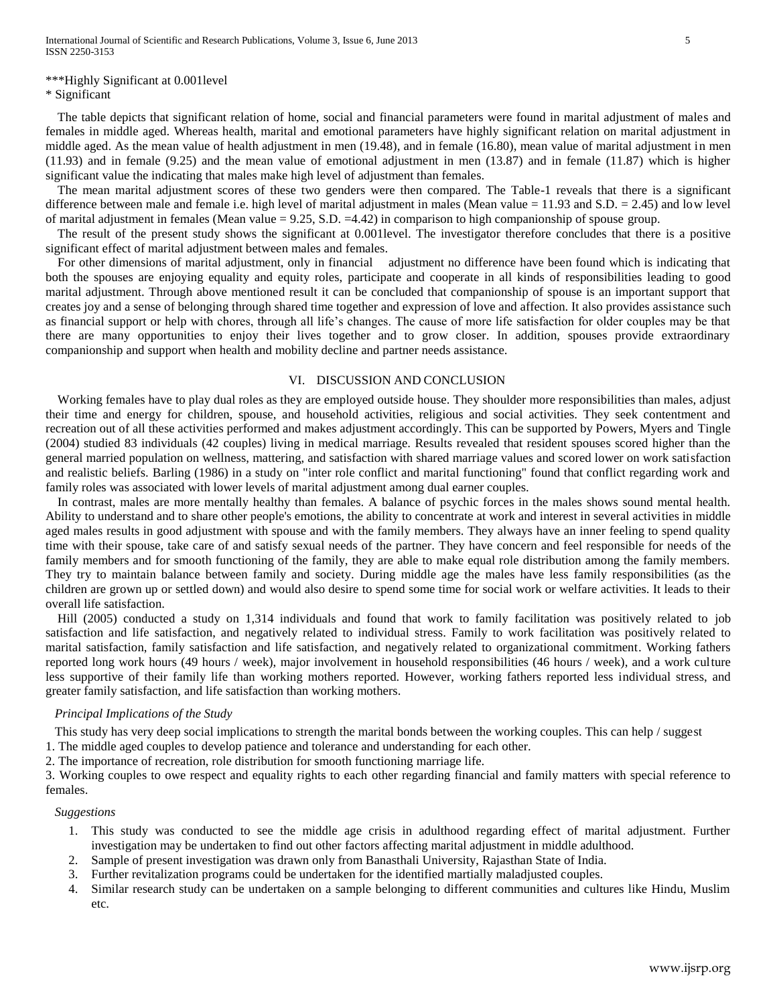# \*\*\*Highly Significant at 0.001level

\* Significant

The table depicts that significant relation of home, social and financial parameters were found in marital adjustment of males and females in middle aged. Whereas health, marital and emotional parameters have highly significant relation on marital adjustment in middle aged. As the mean value of health adjustment in men (19.48), and in female (16.80), mean value of marital adjustment in men (11.93) and in female (9.25) and the mean value of emotional adjustment in men (13.87) and in female (11.87) which is higher significant value the indicating that males make high level of adjustment than females.

The mean marital adjustment scores of these two genders were then compared. The Table-1 reveals that there is a significant difference between male and female i.e. high level of marital adjustment in males (Mean value  $= 11.93$  and S.D.  $= 2.45$ ) and low level of marital adjustment in females (Mean value  $= 9.25$ , S.D.  $= 4.42$ ) in comparison to high companionship of spouse group.

The result of the present study shows the significant at 0.001level. The investigator therefore concludes that there is a positive significant effect of marital adjustment between males and females.

For other dimensions of marital adjustment, only in financial adjustment no difference have been found which is indicating that both the spouses are enjoying equality and equity roles, participate and cooperate in all kinds of responsibilities leading to good marital adjustment. Through above mentioned result it can be concluded that companionship of spouse is an important support that creates joy and a sense of belonging through shared time together and expression of love and affection. It also provides assistance such as financial support or help with chores, through all life's changes. The cause of more life satisfaction for older couples may be that there are many opportunities to enjoy their lives together and to grow closer. In addition, spouses provide extraordinary companionship and support when health and mobility decline and partner needs assistance.

## VI. DISCUSSION AND CONCLUSION

Working females have to play dual roles as they are employed outside house. They shoulder more responsibilities than males, adjust their time and energy for children, spouse, and household activities, religious and social activities. They seek contentment and recreation out of all these activities performed and makes adjustment accordingly. This can be supported by Powers, Myers and Tingle (2004) studied 83 individuals (42 couples) living in medical marriage. Results revealed that resident spouses scored higher than the general married population on wellness, mattering, and satisfaction with shared marriage values and scored lower on work satisfaction and realistic beliefs. Barling (1986) in a study on "inter role conflict and marital functioning" found that conflict regarding work and family roles was associated with lower levels of marital adjustment among dual earner couples.

In contrast, males are more mentally healthy than females. A balance of psychic forces in the males shows sound mental health. Ability to understand and to share other people's emotions, the ability to concentrate at work and interest in several activities in middle aged males results in good adjustment with spouse and with the family members. They always have an inner feeling to spend quality time with their spouse, take care of and satisfy sexual needs of the partner. They have concern and feel responsible for needs of the family members and for smooth functioning of the family, they are able to make equal role distribution among the family members. They try to maintain balance between family and society. During middle age the males have less family responsibilities (as the children are grown up or settled down) and would also desire to spend some time for social work or welfare activities. It leads to their overall life satisfaction.

Hill (2005) conducted a study on 1,314 individuals and found that work to family facilitation was positively related to job satisfaction and life satisfaction, and negatively related to individual stress. Family to work facilitation was positively related to marital satisfaction, family satisfaction and life satisfaction, and negatively related to organizational commitment. Working fathers reported long work hours (49 hours / week), major involvement in household responsibilities (46 hours / week), and a work culture less supportive of their family life than working mothers reported. However, working fathers reported less individual stress, and greater family satisfaction, and life satisfaction than working mothers.

## *Principal Implications of the Study*

This study has very deep social implications to strength the marital bonds between the working couples. This can help / suggest

1. The middle aged couples to develop patience and tolerance and understanding for each other.

2. The importance of recreation, role distribution for smooth functioning marriage life.

3. Working couples to owe respect and equality rights to each other regarding financial and family matters with special reference to females.

#### *Suggestions*

- 1. This study was conducted to see the middle age crisis in adulthood regarding effect of marital adjustment. Further investigation may be undertaken to find out other factors affecting marital adjustment in middle adulthood.
- 2. Sample of present investigation was drawn only from Banasthali University, Rajasthan State of India.
- 3. Further revitalization programs could be undertaken for the identified martially maladjusted couples.
- 4. Similar research study can be undertaken on a sample belonging to different communities and cultures like Hindu, Muslim etc.